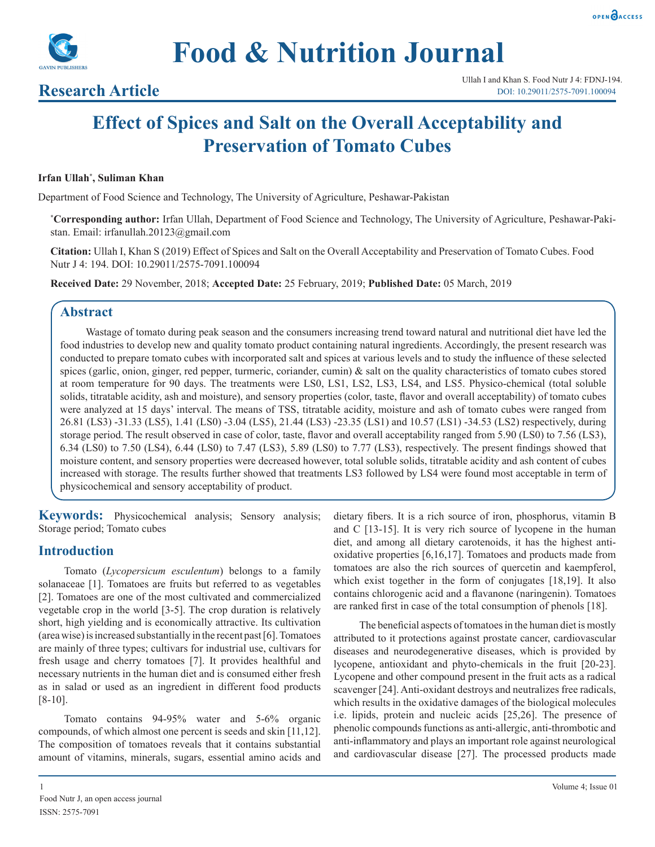



**Food & Nutrition Journal**

# **Research Article**

# **Effect of Spices and Salt on the Overall Acceptability and Preservation of Tomato Cubes**

#### **Irfan Ullah\* , Suliman Khan**

Department of Food Science and Technology, The University of Agriculture, Peshawar-Pakistan

**\* Corresponding author:** Irfan Ullah, Department of Food Science and Technology, The University of Agriculture, Peshawar-Pakistan. Email: irfanullah.20123@gmail.com

**Citation:** Ullah I, Khan S (2019) Effect of Spices and Salt on the Overall Acceptability and Preservation of Tomato Cubes. Food Nutr J 4: 194. DOI: 10.29011/2575-7091.100094

**Received Date:** 29 November, 2018; **Accepted Date:** 25 February, 2019; **Published Date:** 05 March, 2019

#### **Abstract**

Wastage of tomato during peak season and the consumers increasing trend toward natural and nutritional diet have led the food industries to develop new and quality tomato product containing natural ingredients. Accordingly, the present research was conducted to prepare tomato cubes with incorporated salt and spices at various levels and to study the influence of these selected spices (garlic, onion, ginger, red pepper, turmeric, coriander, cumin)  $\&$  salt on the quality characteristics of tomato cubes stored at room temperature for 90 days. The treatments were LS0, LS1, LS2, LS3, LS4, and LS5. Physico-chemical (total soluble solids, titratable acidity, ash and moisture), and sensory properties (color, taste, flavor and overall acceptability) of tomato cubes were analyzed at 15 days' interval. The means of TSS, titratable acidity, moisture and ash of tomato cubes were ranged from 26.81 (LS3) -31.33 (LS5), 1.41 (LS0) -3.04 (LS5), 21.44 (LS3) -23.35 (LS1) and 10.57 (LS1) -34.53 (LS2) respectively, during storage period. The result observed in case of color, taste, flavor and overall acceptability ranged from 5.90 (LS0) to 7.56 (LS3), 6.34 (LS0) to 7.50 (LS4), 6.44 (LS0) to 7.47 (LS3), 5.89 (LS0) to 7.77 (LS3), respectively. The present findings showed that moisture content, and sensory properties were decreased however, total soluble solids, titratable acidity and ash content of cubes increased with storage. The results further showed that treatments LS3 followed by LS4 were found most acceptable in term of physicochemical and sensory acceptability of product.

**Keywords:** Physicochemical analysis; Sensory analysis; Storage period; Tomato cubes

### **Introduction**

Tomato (*Lycopersicum esculentum*) belongs to a family solanaceae [1]. Tomatoes are fruits but referred to as vegetables [2]. Tomatoes are one of the most cultivated and commercialized vegetable crop in the world [3-5]. The crop duration is relatively short, high yielding and is economically attractive. Its cultivation (area wise) is increased substantially in the recent past [6]. Tomatoes are mainly of three types; cultivars for industrial use, cultivars for fresh usage and cherry tomatoes [7]. It provides healthful and necessary nutrients in the human diet and is consumed either fresh as in salad or used as an ingredient in different food products [8-10].

Tomato contains 94-95% water and 5-6% organic compounds, of which almost one percent is seeds and skin [11,12]. The composition of tomatoes reveals that it contains substantial amount of vitamins, minerals, sugars, essential amino acids and

dietary fibers. It is a rich source of iron, phosphorus, vitamin B and C [13-15]. It is very rich source of lycopene in the human diet, and among all dietary carotenoids, it has the highest antioxidative properties [6,16,17]. Tomatoes and products made from tomatoes are also the rich sources of quercetin and kaempferol, which exist together in the form of conjugates [18,19]. It also contains chlorogenic acid and a flavanone (naringenin). Tomatoes are ranked first in case of the total consumption of phenols [18].

The beneficial aspects of tomatoes in the human diet is mostly attributed to it protections against prostate cancer, cardiovascular diseases and neurodegenerative diseases, which is provided by lycopene, antioxidant and phyto-chemicals in the fruit [20-23]. Lycopene and other compound present in the fruit acts as a radical scavenger [24]. Anti-oxidant destroys and neutralizes free radicals, which results in the oxidative damages of the biological molecules i.e. lipids, protein and nucleic acids [25,26]. The presence of phenolic compounds functions as anti-allergic, anti-thrombotic and anti-inflammatory and plays an important role against neurological and cardiovascular disease [27]. The processed products made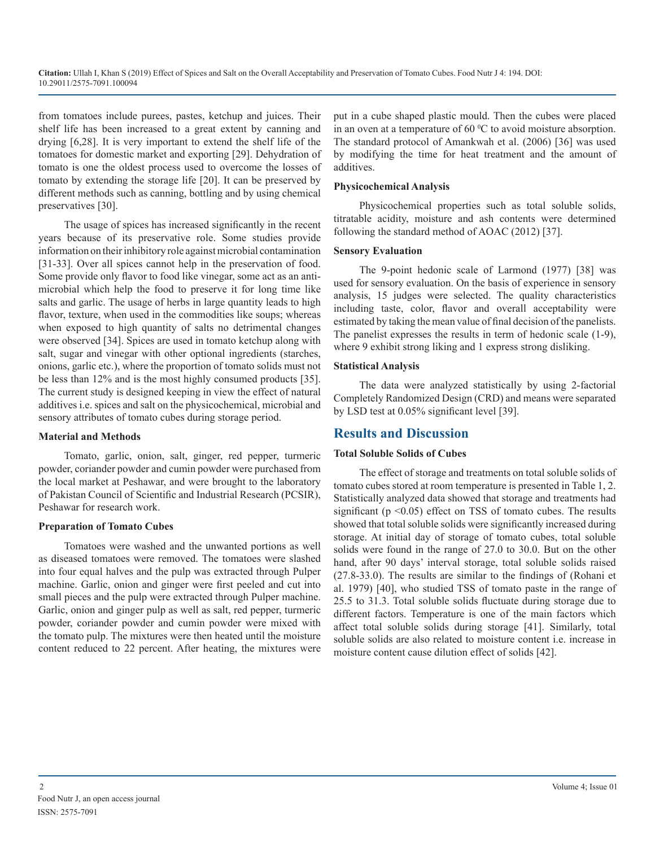from tomatoes include purees, pastes, ketchup and juices. Their shelf life has been increased to a great extent by canning and drying [6,28]. It is very important to extend the shelf life of the tomatoes for domestic market and exporting [29]. Dehydration of tomato is one the oldest process used to overcome the losses of tomato by extending the storage life [20]. It can be preserved by different methods such as canning, bottling and by using chemical preservatives [30].

The usage of spices has increased significantly in the recent years because of its preservative role. Some studies provide information on their inhibitory role against microbial contamination [31-33]. Over all spices cannot help in the preservation of food. Some provide only flavor to food like vinegar, some act as an antimicrobial which help the food to preserve it for long time like salts and garlic. The usage of herbs in large quantity leads to high flavor, texture, when used in the commodities like soups; whereas when exposed to high quantity of salts no detrimental changes were observed [34]. Spices are used in tomato ketchup along with salt, sugar and vinegar with other optional ingredients (starches, onions, garlic etc.), where the proportion of tomato solids must not be less than 12% and is the most highly consumed products [35]. The current study is designed keeping in view the effect of natural additives i.e. spices and salt on the physicochemical, microbial and sensory attributes of tomato cubes during storage period.

#### **Material and Methods**

Tomato, garlic, onion, salt, ginger, red pepper, turmeric powder, coriander powder and cumin powder were purchased from the local market at Peshawar, and were brought to the laboratory of Pakistan Council of Scientific and Industrial Research (PCSIR), Peshawar for research work.

#### **Preparation of Tomato Cubes**

Tomatoes were washed and the unwanted portions as well as diseased tomatoes were removed. The tomatoes were slashed into four equal halves and the pulp was extracted through Pulper machine. Garlic, onion and ginger were first peeled and cut into small pieces and the pulp were extracted through Pulper machine. Garlic, onion and ginger pulp as well as salt, red pepper, turmeric powder, coriander powder and cumin powder were mixed with the tomato pulp. The mixtures were then heated until the moisture content reduced to 22 percent. After heating, the mixtures were

put in a cube shaped plastic mould. Then the cubes were placed in an oven at a temperature of  $60\,^{\circ}\text{C}$  to avoid moisture absorption. The standard protocol of Amankwah et al. (2006) [36] was used by modifying the time for heat treatment and the amount of additives.

#### **Physicochemical Analysis**

Physicochemical properties such as total soluble solids, titratable acidity, moisture and ash contents were determined following the standard method of AOAC (2012) [37].

#### **Sensory Evaluation**

The 9-point hedonic scale of Larmond (1977) [38] was used for sensory evaluation. On the basis of experience in sensory analysis, 15 judges were selected. The quality characteristics including taste, color, flavor and overall acceptability were estimated by taking the mean value of final decision of the panelists. The panelist expresses the results in term of hedonic scale (1-9), where 9 exhibit strong liking and 1 express strong disliking.

#### **Statistical Analysis**

The data were analyzed statistically by using 2-factorial Completely Randomized Design (CRD) and means were separated by LSD test at 0.05% significant level [39].

# **Results and Discussion**

#### **Total Soluble Solids of Cubes**

The effect of storage and treatments on total soluble solids of tomato cubes stored at room temperature is presented in Table 1, 2. Statistically analyzed data showed that storage and treatments had significant ( $p \le 0.05$ ) effect on TSS of tomato cubes. The results showed that total soluble solids were significantly increased during storage. At initial day of storage of tomato cubes, total soluble solids were found in the range of 27.0 to 30.0. But on the other hand, after 90 days' interval storage, total soluble solids raised (27.8-33.0). The results are similar to the findings of (Rohani et al. 1979) [40], who studied TSS of tomato paste in the range of 25.5 to 31.3. Total soluble solids fluctuate during storage due to different factors. Temperature is one of the main factors which affect total soluble solids during storage [41]. Similarly, total soluble solids are also related to moisture content i.e. increase in moisture content cause dilution effect of solids [42].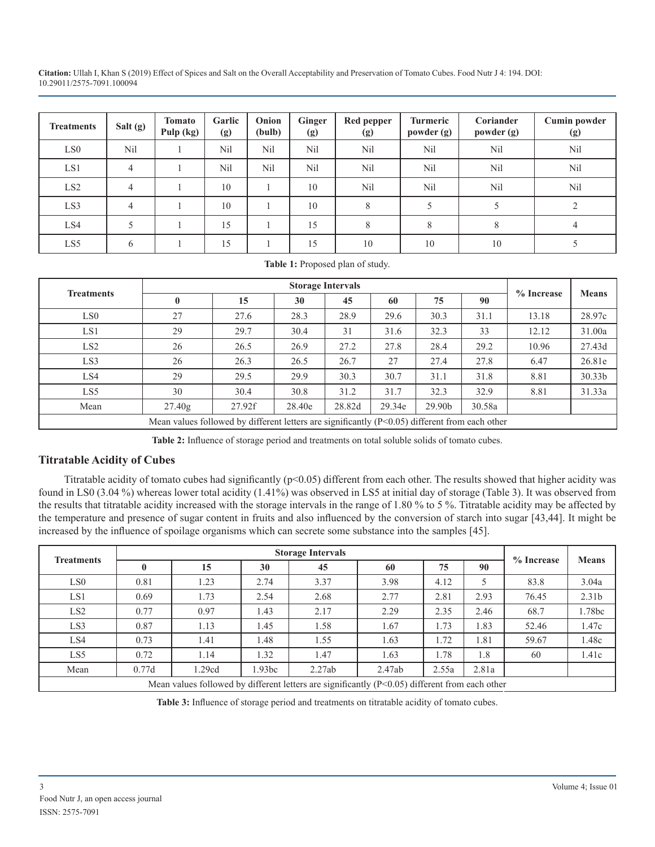| <b>Treatments</b> | Salt (g) | <b>Tomato</b><br>Pulp (kg) | Garlic<br>(g) | Onion<br>(bulb) | Ginger<br>(g) | Red pepper<br>(g) | Turmeric<br>powder (g) | Coriander<br>powder (g) | <b>Cumin powder</b><br>(g) |
|-------------------|----------|----------------------------|---------------|-----------------|---------------|-------------------|------------------------|-------------------------|----------------------------|
| LS <sub>0</sub>   | Nil      |                            | Nil           | Nil             | Nil           | Nil               | Nil                    | Nil                     | N <sub>il</sub>            |
| LS1               | 4        |                            | Nil           | N <sub>il</sub> | Nil           | Nil               | N <sub>il</sub>        | Nil                     | Nil                        |
| LS2               |          |                            | 10            |                 | 10            | Nil               | N <sub>il</sub>        | N <sub>il</sub>         | N <sub>il</sub>            |
| LS3               |          |                            | 10            |                 | 10            | 8                 |                        |                         |                            |
| LS4               |          |                            | 15            |                 | 15            | 8                 | 8                      | 8                       | 4                          |
| LS5               | b        |                            | 15            |                 | 15            | 10                | 10                     | 10                      |                            |

|  |  | Table 1: Proposed plan of study. |  |  |
|--|--|----------------------------------|--|--|
|--|--|----------------------------------|--|--|

| <b>Treatments</b> |                                                                                                  |        |        | <b>Storage Intervals</b> |        |        |        | $%$ Increase | <b>Means</b> |
|-------------------|--------------------------------------------------------------------------------------------------|--------|--------|--------------------------|--------|--------|--------|--------------|--------------|
|                   | $\bf{0}$                                                                                         | 15     | 30     | 45                       | 60     | 75     | 90     |              |              |
| LS <sub>0</sub>   | 27                                                                                               | 27.6   | 28.3   | 28.9                     | 29.6   | 30.3   | 31.1   | 13.18        | 28.97c       |
| LS1               | 29                                                                                               | 29.7   | 30.4   | 31                       | 31.6   | 32.3   | 33     | 12.12        | 31.00a       |
| LS <sub>2</sub>   | 26                                                                                               | 26.5   | 26.9   | 27.2                     | 27.8   | 28.4   | 29.2   | 10.96        | 27.43d       |
| LS3               | 26                                                                                               | 26.3   | 26.5   | 26.7                     | 27     | 27.4   | 27.8   | 6.47         | 26.81e       |
| LS4               | 29                                                                                               | 29.5   | 29.9   | 30.3                     | 30.7   | 31.1   | 31.8   | 8.81         | 30.33b       |
| LS5               | 30                                                                                               | 30.4   | 30.8   | 31.2                     | 31.7   | 32.3   | 32.9   | 8.81         | 31.33a       |
| Mean              | 27.40g                                                                                           | 27.92f | 28.40e | 28.82d                   | 29.34e | 29.90b | 30.58a |              |              |
|                   | Mean values followed by different letters are significantly $(P<0.05)$ different from each other |        |        |                          |        |        |        |              |              |

**Table 2:** Influence of storage period and treatments on total soluble solids of tomato cubes.

# **Titratable Acidity of Cubes**

Titratable acidity of tomato cubes had significantly ( $p<0.05$ ) different from each other. The results showed that higher acidity was found in LS0 (3.04 %) whereas lower total acidity (1.41%) was observed in LS5 at initial day of storage (Table 3). It was observed from the results that titratable acidity increased with the storage intervals in the range of 1.80 % to 5 %. Titratable acidity may be affected by the temperature and presence of sugar content in fruits and also influenced by the conversion of starch into sugar [43,44]. It might be increased by the influence of spoilage organisms which can secrete some substance into the samples [45].

|                   |              |                                                                                                   |        | <b>Storage Intervals</b> |        |       |       |            | <b>Means</b>      |
|-------------------|--------------|---------------------------------------------------------------------------------------------------|--------|--------------------------|--------|-------|-------|------------|-------------------|
| <b>Treatments</b> | $\mathbf{0}$ | 15                                                                                                | 30     | 45                       | 60     | 75    | 90    | % Increase |                   |
| LS <sub>0</sub>   | 0.81         | 1.23                                                                                              | 2.74   | 3.37                     | 3.98   | 4.12  | 5     | 83.8       | 3.04a             |
| LS1               | 0.69         | 1.73                                                                                              | 2.54   | 2.68                     | 2.77   | 2.81  | 2.93  | 76.45      | 2.31 <sub>b</sub> |
| LS <sub>2</sub>   | 0.77         | 0.97                                                                                              | 1.43   | 2.17                     | 2.29   | 2.35  | 2.46  | 68.7       | 1.78bc            |
| LS3               | 0.87         | 1.13                                                                                              | 1.45   | 1.58                     | 1.67   | 1.73  | 1.83  | 52.46      | 1.47c             |
| LS4               | 0.73         | 1.41                                                                                              | 1.48   | 1.55                     | 1.63   | 1.72  | 1.81  | 59.67      | 1.48c             |
| LS5               | 0.72         | 1.14                                                                                              | 1.32   | 1.47                     | 1.63   | 1.78  | 1.8   | 60         | 1.41c             |
| Mean              | 0.77d        | 1.29cd                                                                                            | 1.93bc | 2.27ab                   | 2.47ab | 2.55a | 2.81a |            |                   |
|                   |              | Mean values followed by different letters are significantly $(P< 0.05)$ different from each other |        |                          |        |       |       |            |                   |

**Table 3:** Influence of storage period and treatments on titratable acidity of tomato cubes.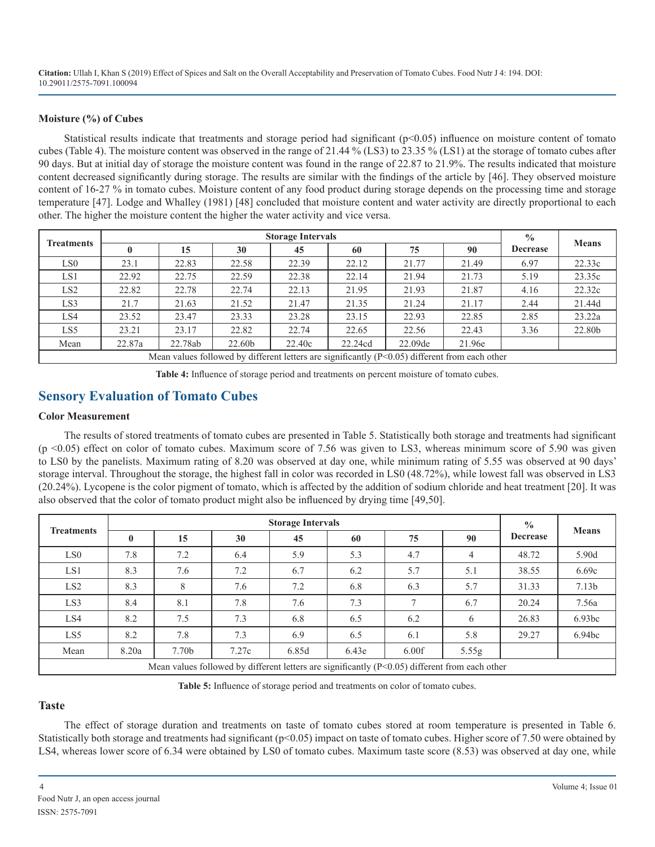#### **Moisture (%) of Cubes**

Statistical results indicate that treatments and storage period had significant (p<0.05) influence on moisture content of tomato cubes (Table 4). The moisture content was observed in the range of 21.44 % (LS3) to 23.35 % (LS1) at the storage of tomato cubes after 90 days. But at initial day of storage the moisture content was found in the range of 22.87 to 21.9%. The results indicated that moisture content decreased significantly during storage. The results are similar with the findings of the article by [46]. They observed moisture content of 16-27 % in tomato cubes. Moisture content of any food product during storage depends on the processing time and storage temperature [47]. Lodge and Whalley (1981) [48] concluded that moisture content and water activity are directly proportional to each other. The higher the moisture content the higher the water activity and vice versa.

|                   |        |         |        | <b>Storage Intervals</b> |                                                                                                  |         |        | $\frac{0}{0}$   | <b>Means</b> |
|-------------------|--------|---------|--------|--------------------------|--------------------------------------------------------------------------------------------------|---------|--------|-----------------|--------------|
| <b>Treatments</b> |        | 15      | 30     | 45                       | 60                                                                                               | 75      | 90     | <b>Decrease</b> |              |
| LS <sub>0</sub>   | 23.1   | 22.83   | 22.58  | 22.39                    | 22.12                                                                                            | 21.77   | 21.49  | 6.97            | 22.33c       |
| LS1               | 22.92  | 22.75   | 22.59  | 22.38                    | 22.14                                                                                            | 21.94   | 21.73  | 5.19            | 23.35c       |
| LS <sub>2</sub>   | 22.82  | 22.78   | 22.74  | 22.13                    | 21.95                                                                                            | 21.93   | 21.87  | 4.16            | 22.32c       |
| LS3               | 21.7   | 21.63   | 21.52  | 21.47                    | 21.35                                                                                            | 21.24   | 21.17  | 2.44            | 21.44d       |
| LS4               | 23.52  | 23.47   | 23.33  | 23.28                    | 23.15                                                                                            | 22.93   | 22.85  | 2.85            | 23.22a       |
| LS5               | 23.21  | 23.17   | 22.82  | 22.74                    | 22.65                                                                                            | 22.56   | 22.43  | 3.36            | 22.80b       |
| Mean              | 22.87a | 22.78ab | 22.60b | 22.40c                   | 22.24cd                                                                                          | 22.09de | 21.96e |                 |              |
|                   |        |         |        |                          | Mean values followed by different letters are significantly $(P<0.05)$ different from each other |         |        |                 |              |

**Table 4:** Influence of storage period and treatments on percent moisture of tomato cubes.

# **Sensory Evaluation of Tomato Cubes**

#### **Color Measurement**

The results of stored treatments of tomato cubes are presented in Table 5. Statistically both storage and treatments had significant  $(p \le 0.05)$  effect on color of tomato cubes. Maximum score of 7.56 was given to LS3, whereas minimum score of 5.90 was given to LS0 by the panelists. Maximum rating of 8.20 was observed at day one, while minimum rating of 5.55 was observed at 90 days' storage interval. Throughout the storage, the highest fall in color was recorded in LS0 (48.72%), while lowest fall was observed in LS3 (20.24%). Lycopene is the color pigment of tomato, which is affected by the addition of sodium chloride and heat treatment [20]. It was also observed that the color of tomato product might also be influenced by drying time [49,50].

|                   |          |                   |       | <b>Storage Intervals</b> |                                                                                                  |               |       | $\frac{0}{0}$   | <b>Means</b>      |
|-------------------|----------|-------------------|-------|--------------------------|--------------------------------------------------------------------------------------------------|---------------|-------|-----------------|-------------------|
| <b>Treatments</b> | $\bf{0}$ | 15                | 30    | 45                       | 60                                                                                               | 75            | 90    | <b>Decrease</b> |                   |
| LS <sub>0</sub>   | 7.8      | 7.2               | 6.4   | 5.9                      | 5.3                                                                                              | 4.7           | 4     | 48.72           | 5.90d             |
| LS1               | 8.3      | 7.6               | 7.2   | 6.7                      | 6.2                                                                                              | 5.7           | 5.1   | 38.55           | 6.69c             |
| LS <sub>2</sub>   | 8.3      | 8                 | 7.6   | 7.2                      | 6.8                                                                                              | 6.3           | 5.7   | 31.33           | 7.13 <sub>b</sub> |
| LS3               | 8.4      | 8.1               | 7.8   | 7.6                      | 7.3                                                                                              | $\mathcal{I}$ | 6.7   | 20.24           | 7.56a             |
| LS4               | 8.2      | 7.5               | 7.3   | 6.8                      | 6.5                                                                                              | 6.2           | 6     | 26.83           | 6.93bc            |
| LS5               | 8.2      | 7.8               | 7.3   | 6.9                      | 6.5                                                                                              | 6.1           | 5.8   | 29.27           | 6.94bc            |
| Mean              | 8.20a    | 7.70 <sub>b</sub> | 7.27c | 6.85d                    | 6.43e                                                                                            | 6.00f         | 5.55g |                 |                   |
|                   |          |                   |       |                          | Mean values followed by different letters are significantly $(P<0.05)$ different from each other |               |       |                 |                   |

**Table 5:** Influence of storage period and treatments on color of tomato cubes.

## **Taste**

The effect of storage duration and treatments on taste of tomato cubes stored at room temperature is presented in Table 6. Statistically both storage and treatments had significant ( $p<0.05$ ) impact on taste of tomato cubes. Higher score of 7.50 were obtained by LS4, whereas lower score of 6.34 were obtained by LS0 of tomato cubes. Maximum taste score (8.53) was observed at day one, while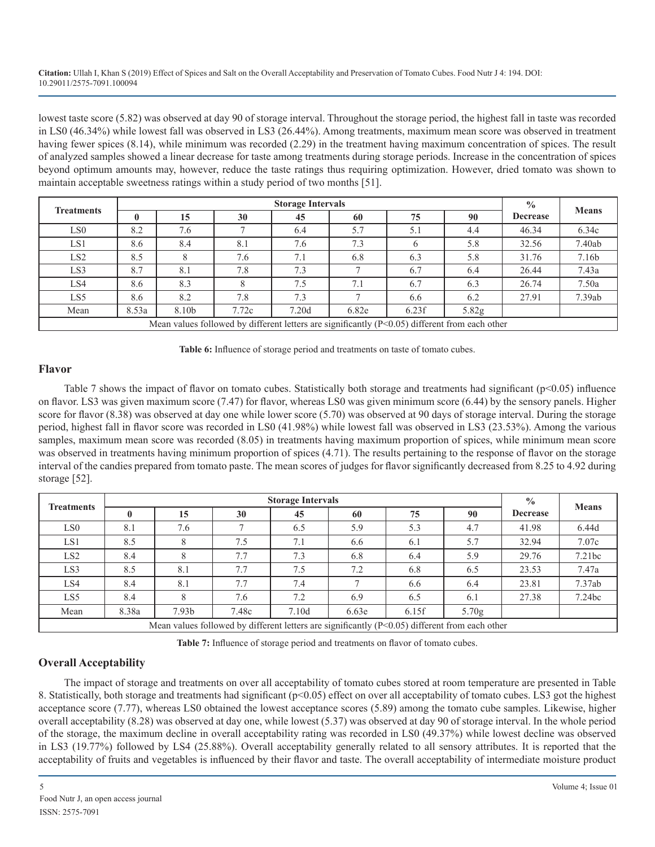lowest taste score (5.82) was observed at day 90 of storage interval. Throughout the storage period, the highest fall in taste was recorded in LS0 (46.34%) while lowest fall was observed in LS3 (26.44%). Among treatments, maximum mean score was observed in treatment having fewer spices (8.14), while minimum was recorded (2.29) in the treatment having maximum concentration of spices. The result of analyzed samples showed a linear decrease for taste among treatments during storage periods. Increase in the concentration of spices beyond optimum amounts may, however, reduce the taste ratings thus requiring optimization. However, dried tomato was shown to maintain acceptable sweetness ratings within a study period of two months [51].

|                   |              |       |       | <b>Storage Intervals</b> |                                                                                                  |       |       | $\frac{0}{0}$   | <b>Means</b> |
|-------------------|--------------|-------|-------|--------------------------|--------------------------------------------------------------------------------------------------|-------|-------|-----------------|--------------|
| <b>Treatments</b> | $\mathbf{0}$ | 15    | 30    | 45                       | 60                                                                                               | 75    | 90    | <b>Decrease</b> |              |
| LS <sub>0</sub>   | 8.2          | 7.6   |       | 6.4                      | 5.7                                                                                              | 5.1   | 4.4   | 46.34           | 6.34c        |
| LS1               | 8.6          | 8.4   | 8.1   | 7.6                      | 7.3                                                                                              |       | 5.8   | 32.56           | 7.40ab       |
| LS <sub>2</sub>   | 8.5          | 8     | 7.6   | 7.1                      | 6.8                                                                                              | 6.3   | 5.8   | 31.76           | 7.16b        |
| LS3               | 8.7          | 8.1   | 7.8   | 7.3                      |                                                                                                  | 6.7   | 6.4   | 26.44           | 7.43a        |
| LS4               | 8.6          | 8.3   |       | 7.5                      | 7.1                                                                                              | 6.7   | 6.3   | 26.74           | 7.50a        |
| LS5               | 8.6          | 8.2   | 7.8   | 7.3                      |                                                                                                  | 6.6   | 6.2   | 27.91           | 7.39ab       |
| Mean              | 8.53a        | 8.10b | 7.72c | 7.20d                    | 6.82e                                                                                            | 6.23f | 5.82g |                 |              |
|                   |              |       |       |                          | Mean values followed by different letters are significantly $(P<0.05)$ different from each other |       |       |                 |              |



#### **Flavor**

Table 7 shows the impact of flavor on tomato cubes. Statistically both storage and treatments had significant (p<0.05) influence on flavor. LS3 was given maximum score (7.47) for flavor, whereas LS0 was given minimum score (6.44) by the sensory panels. Higher score for flavor (8.38) was observed at day one while lower score (5.70) was observed at 90 days of storage interval. During the storage period, highest fall in flavor score was recorded in LS0 (41.98%) while lowest fall was observed in LS3 (23.53%). Among the various samples, maximum mean score was recorded (8.05) in treatments having maximum proportion of spices, while minimum mean score was observed in treatments having minimum proportion of spices (4.71). The results pertaining to the response of flavor on the storage interval of the candies prepared from tomato paste. The mean scores of judges for flavor significantly decreased from 8.25 to 4.92 during storage [52].

|                   |       |                   |       | <b>Storage Intervals</b> |                                                                                                  |       |                   | $\frac{0}{0}$   | <b>Means</b> |
|-------------------|-------|-------------------|-------|--------------------------|--------------------------------------------------------------------------------------------------|-------|-------------------|-----------------|--------------|
| <b>Treatments</b> |       | 15                | 30    | 45                       | 60                                                                                               | 75    | 90                | <b>Decrease</b> |              |
| LS <sub>0</sub>   | 8.1   | 7.6               |       | 6.5                      | 5.9                                                                                              | 5.3   | 4.7               | 41.98           | 6.44d        |
| LS1               | 8.5   |                   | 7.5   | 7.1                      | 6.6                                                                                              | 6.1   | 5.7               | 32.94           | 7.07c        |
| LS <sub>2</sub>   | 8.4   |                   | 7.7   | 7.3                      | 6.8                                                                                              | 6.4   | 5.9               | 29.76           | 7.21bc       |
| LS3               | 8.5   | 8.1               | 7.7   | 7.5                      | 7.2                                                                                              | 6.8   | 6.5               | 23.53           | 7.47a        |
| LS4               | 8.4   | 8.1               | 7.7   | 7.4                      |                                                                                                  | 6.6   | 6.4               | 23.81           | 7.37ab       |
| LS5               | 8.4   |                   | 7.6   | 7.2                      | 6.9                                                                                              | 6.5   | 6.1               | 27.38           | 7.24bc       |
| Mean              | 8.38a | 7.93 <sub>b</sub> | 7.48c | 7.10d                    | 6.63e                                                                                            | 6.15f | 5.70 <sub>g</sub> |                 |              |
|                   |       |                   |       |                          | Mean values followed by different letters are significantly $(P<0.05)$ different from each other |       |                   |                 |              |

**Table 7:** Influence of storage period and treatments on flavor of tomato cubes.

# **Overall Acceptability**

The impact of storage and treatments on over all acceptability of tomato cubes stored at room temperature are presented in Table 8. Statistically, both storage and treatments had significant (p<0.05) effect on over all acceptability of tomato cubes. LS3 got the highest acceptance score (7.77), whereas LS0 obtained the lowest acceptance scores (5.89) among the tomato cube samples. Likewise, higher overall acceptability (8.28) was observed at day one, while lowest (5.37) was observed at day 90 of storage interval. In the whole period of the storage, the maximum decline in overall acceptability rating was recorded in LS0 (49.37%) while lowest decline was observed in LS3 (19.77%) followed by LS4 (25.88%). Overall acceptability generally related to all sensory attributes. It is reported that the acceptability of fruits and vegetables is influenced by their flavor and taste. The overall acceptability of intermediate moisture product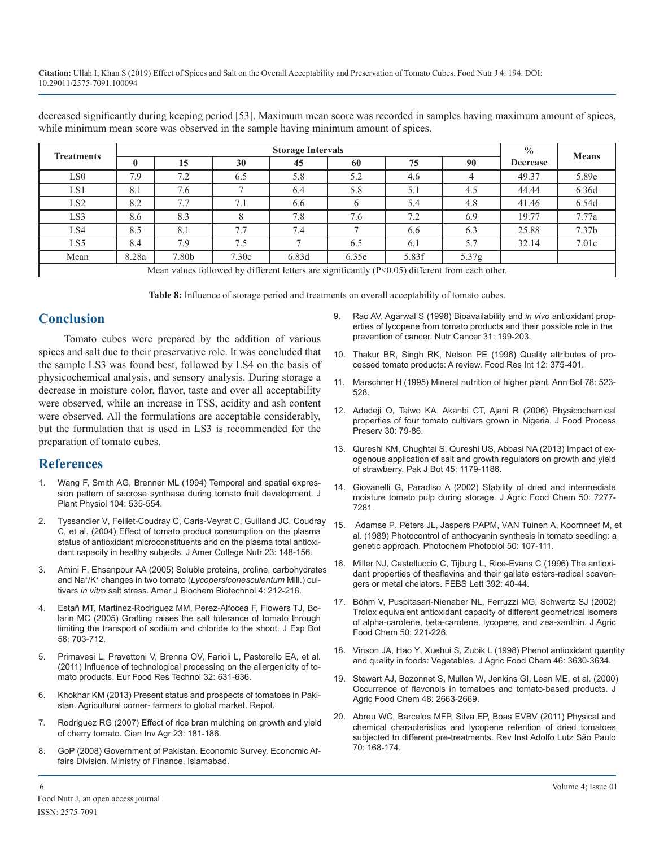decreased significantly during keeping period [53]. Maximum mean score was recorded in samples having maximum amount of spices, while minimum mean score was observed in the sample having minimum amount of spices.

|                   |              |       |       | <b>Storage Intervals</b> |                                                                                                   |       |                   | $\frac{0}{0}$   | <b>Means</b>      |
|-------------------|--------------|-------|-------|--------------------------|---------------------------------------------------------------------------------------------------|-------|-------------------|-----------------|-------------------|
| <b>Treatments</b> | $\mathbf{0}$ | 15    | 30    | 45                       | 60                                                                                                | 75    | 90                | <b>Decrease</b> |                   |
| LS <sub>0</sub>   | 7.9          | 7.2   | 6.5   | 5.8                      | 5.2                                                                                               | 4.6   |                   | 49.37           | 5.89e             |
| LS1               | 8.1          | 7.6   |       | 6.4                      | 5.8                                                                                               | 5.1   | 4.5               | 44.44           | 6.36d             |
| LS <sub>2</sub>   | 8.2          | 7.7   | 7.1   | 6.6                      |                                                                                                   | 5.4   | 4.8               | 41.46           | 6.54d             |
| LS3               | 8.6          | 8.3   |       | 7.8                      | 7.6                                                                                               | 7.2   | 6.9               | 19.77           | 7.77a             |
| LS4               | 8.5          | 8.1   | 7.7   | 7.4                      |                                                                                                   | 6.6   | 6.3               | 25.88           | 7.37 <sub>b</sub> |
| LS5               | 8.4          | 7.9   | 7.5   |                          | 6.5                                                                                               | 6.1   | 5.7               | 32.14           | 7.01c             |
| Mean              | 8.28a        | 7.80b | 7.30c | 6.83d                    | 6.35e                                                                                             | 5.83f | 5.37 <sub>g</sub> |                 |                   |
|                   |              |       |       |                          | Mean values followed by different letters are significantly $(P<0.05)$ different from each other. |       |                   |                 |                   |

**Table 8:** Influence of storage period and treatments on overall acceptability of tomato cubes.

# **Conclusion**

Tomato cubes were prepared by the addition of various spices and salt due to their preservative role. It was concluded that the sample LS3 was found best, followed by LS4 on the basis of physicochemical analysis, and sensory analysis. During storage a decrease in moisture color, flavor, taste and over all acceptability were observed, while an increase in TSS, acidity and ash content were observed. All the formulations are acceptable considerably, but the formulation that is used in LS3 is recommended for the preparation of tomato cubes.

# **References**

- [Wang F, Smith AG, Brenner ML \(1994\) Temporal and spatial expres](https://www.ncbi.nlm.nih.gov/pmc/articles/PMC159228/)sion pattern of sucrose synthase during tomato fruit development. J [Plant Physiol 104: 535-554.](https://www.ncbi.nlm.nih.gov/pmc/articles/PMC159228/)
- 2. [Tyssandier V, Feillet-Coudray C, Caris-Veyrat C, Guilland JC, Coudra](https://www.ncbi.nlm.nih.gov/pubmed/15047681)y C, et al. (2004) Effect of tomato product consumption on the plasma [status of antioxidant microconstituents and on the plasma total antioxi](https://www.ncbi.nlm.nih.gov/pubmed/15047681)[dant capacity in healthy subjects. J Amer College Nutr 23: 148-156.](https://www.ncbi.nlm.nih.gov/pubmed/15047681)
- [Amini F, Ehsanpour AA \(2005\) Soluble proteins, proline, carbohydrate](https://thescipub.com/abstract/10.3844/ajbbsp.2005.204.208)s and Na+/K+ changes in two tomato (*Lycopersiconesculentum* Mill.) cultivars *in vitro* [salt stress. Amer J Biochem](https://thescipub.com/abstract/10.3844/ajbbsp.2005.204.208) Biotechnol 4: 212-216.
- 4. [Estañ MT, Martinez-Rodriguez MM, Perez-Alfocea F, Flowers TJ, Bo](https://www.ncbi.nlm.nih.gov/pubmed/15557292)larin MC (2005) Grafting raises the salt tolerance of tomato through [limiting the transport of sodium and chloride to the shoot. J Exp Bot](https://www.ncbi.nlm.nih.gov/pubmed/15557292) [56: 703-712.](https://www.ncbi.nlm.nih.gov/pubmed/15557292)
- 5. [Primavesi L, Pravettoni V, Brenna OV, Farioli L, Pastorello EA, et al.](https://link.springer.com/article/10.1007/s00217-011-1428-6)  (2011) Influence of technological processing on the allergenicity of to[mato products. Eur Food Res Technol 32: 631-636.](https://link.springer.com/article/10.1007/s00217-011-1428-6)
- 6. [Khokhar KM \(2013\) Present status and prospects of tomatoes in Paki](http://www.agricorner.com/present-status-and-prospects-of-tomatoes-in-pakistan/)stan. Agricultural corner- farmers to global market. Repot.
- 7. [Rodriguez RG \(2007\) Effect of rice bran mulching on growth and yield](https://rcia.uc.cl/index.php/rcia/article/view/401)  of cherry tomato. Cien Inv Agr 23: 181-186.
- 8. GoP (2008) Government of Pakistan. Economic Survey. Economic Affairs Division. Ministry of Finance, Islamabad.
- 9. [Rao AV, Agarwal S \(1998\) Bioavailability and](https://www.ncbi.nlm.nih.gov/pubmed/9795972) *in vivo* antioxidant prop[erties of lycopene from tomato products and their possible role in the](https://www.ncbi.nlm.nih.gov/pubmed/9795972)  [prevention of cancer. Nutr Cancer 31: 199-203.](https://www.ncbi.nlm.nih.gov/pubmed/9795972)
- 10. [Thakur BR, Singh RK, Nelson PE \(1996\) Quality attributes of pro](https://www.tandfonline.com/doi/abs/10.1080/87559129609541085)cessed tomato products: A review. Food Res Int 12: 375-401.
- 11. Marschner H (1995) Mineral nutrition of higher plant. Ann Bot 78: 523- 528.
- 12. [Adedeji O, Taiwo KA, Akanbi CT, Ajani R \(2006\) Physicochemical](https://onlinelibrary.wiley.com/doi/abs/10.1111/j.1745-4549.2005.00049.x)  properties of four tomato cultivars grown in Nigeria. J Food Process [Preserv 30: 79-86.](https://onlinelibrary.wiley.com/doi/abs/10.1111/j.1745-4549.2005.00049.x)
- 13. [Qureshi KM, Chughtai S, Qureshi US, Abbasi NA \(2013\) Impact of ex](https://www.academia.edu/9378143/IMPACT_OF_EXOGENOUS_APPLICATION_OF_SALT_AND_GROWTH_REGULATORS_ON_GROWTH_AND_YIELD_OF_STRAWBERRY)ogenous application of salt and growth regulators on growth and yield [of strawberry. Pak J Bot 45: 1179-1186.](https://www.academia.edu/9378143/IMPACT_OF_EXOGENOUS_APPLICATION_OF_SALT_AND_GROWTH_REGULATORS_ON_GROWTH_AND_YIELD_OF_STRAWBERRY)
- 14. [Giovanelli G, Paradiso A \(2002\) Stability of dried and intermediate](https://www.ncbi.nlm.nih.gov/pubmed/12452644)  [moisture tomato pulp during storage. J Agric Food Chem 50: 7277-](https://www.ncbi.nlm.nih.gov/pmc/articles/PMC159228/) [7281.](https://www.ncbi.nlm.nih.gov/pubmed/12452644)
- 15. [Adamse P, Peters JL, Jaspers PAPM, VAN Tuinen A, Koornneef M, e](https://onlinelibrary.wiley.com/doi/abs/10.1111/j.1751-1097.1989.tb04135.x)t [al. \(1989\) Photocontrol of anthocyanin synthesis in tomato seedling: a](https://www.ncbi.nlm.nih.gov/pubmed/15047681) [genetic approach. Photochem Photobiol 50: 107-111.](https://onlinelibrary.wiley.com/doi/abs/10.1111/j.1751-1097.1989.tb04135.x)
- 16. [Miller NJ, Castelluccio C, Tijburg L, Rice-Evans C \(1996\) The antioxi](https://www.ncbi.nlm.nih.gov/pubmed/8769311)[dant properties of theaflavins and their gallate esters-radical scaven](https://thescipub.com/abstract/10.3844/ajbbsp.2005.204.208)[gers or metal chelators. FEBS Lett 392: 40-44.](https://www.ncbi.nlm.nih.gov/pubmed/8769311)
- 17. [Böhm V, Puspitasari-Nienaber NL, Ferruzzi MG, Schwartz SJ \(2002\)](https://www.ncbi.nlm.nih.gov/pubmed/11754571)  Trolox equivalent antioxidant capacity of different geometrical isomer[s](https://www.ncbi.nlm.nih.gov/pubmed/11754571)  [of alpha-carotene, beta-carotene, lycopene, and zea-xanthin. J Agric](https://www.ncbi.nlm.nih.gov/pubmed/11754571) [Food Chem 50: 221-226.](https://www.ncbi.nlm.nih.gov/pubmed/11754571)
- 18. [Vinson JA, Hao Y, Xuehui S, Zubik L \(1998\) Phenol antioxidant quanti](https://pubs.acs.org/doi/abs/10.1021/jf980295o)ty [and quality in foods: Vegetables. J Agric Food Chem 46: 3630-3634.](https://link.springer.com/article/10.1007/s00217-011-1428-6)
- 19. [Stewart AJ, Bozonnet S, Mullen W, Jenkins GI, Lean ME, et al. \(2000\)](https://www.ncbi.nlm.nih.gov/pubmed/10898604) Occurrence of flavonols in tomatoes and tomato-based products. J [Agric Food Chem 48: 2663-2669.](https://www.ncbi.nlm.nih.gov/pubmed/10898604)
- 20. [Abreu WC, Barcelos MFP, Silva EP, Boas EVBV \(2011\) Physical and](http://periodicos.ses.sp.bvs.br/pdf/rial/v70n2/v70n2a10.pdf)  chemical characteristics and lycopene retention of dried tomatoes [subjected to different pre-treatments. Rev Inst Adolfo Lutz São Paulo](http://periodicos.ses.sp.bvs.br/pdf/rial/v70n2/v70n2a10.pdf) [70: 168-174.](http://periodicos.ses.sp.bvs.br/pdf/rial/v70n2/v70n2a10.pdf)